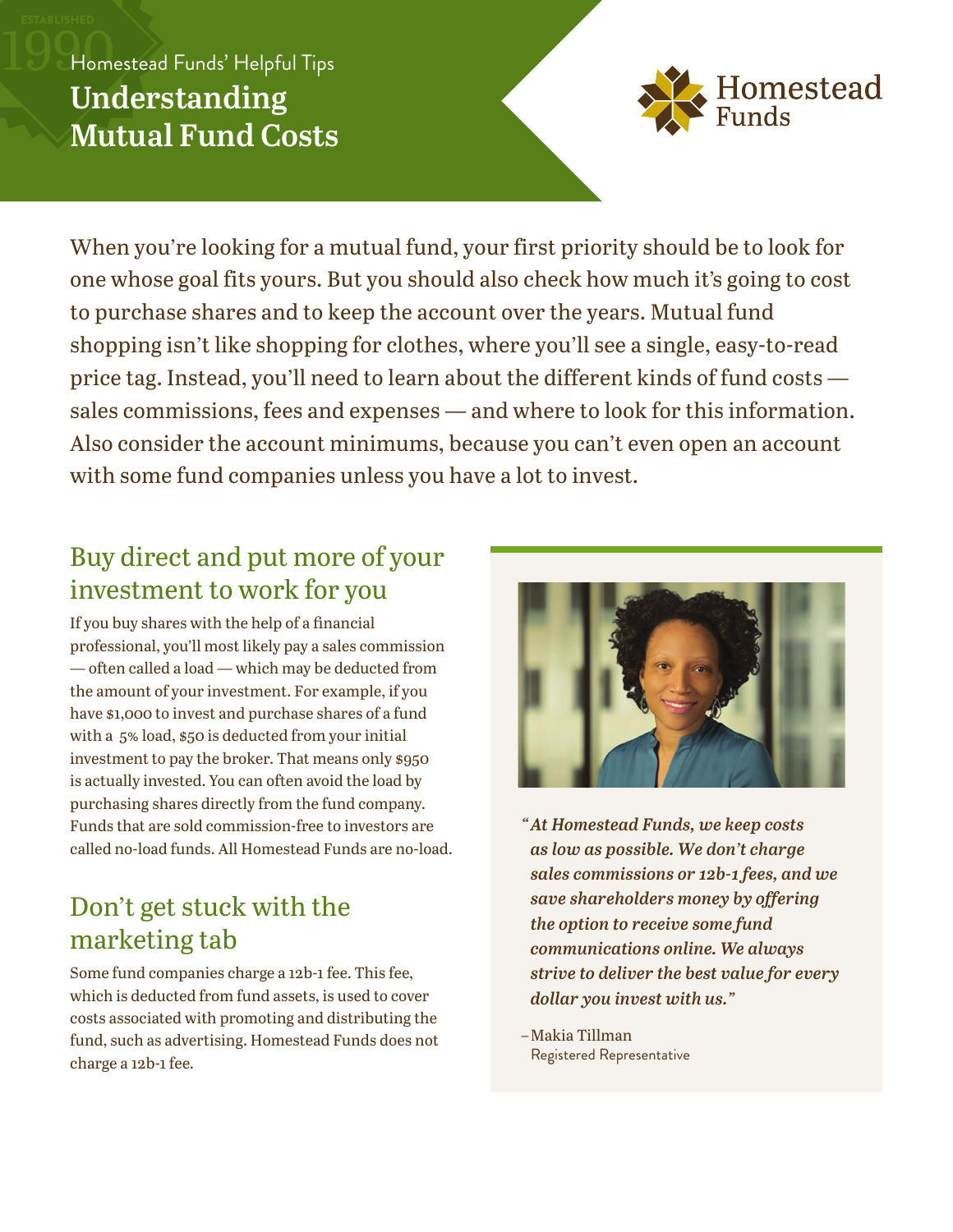# Homestead Funds' Helpful Tips **Understanding Mutual Fund Costs**



When you're looking for a mutual fund, your first priority should be to look for one whose goal fits yours. But you should also check how much it's going to cost to purchase shares and to keep the account over the years. Mutual fund shopping isn't like shopping for clothes, where you'll see a single, easy-to-read price tag. Instead, you'll need to learn about the different kinds of fund costs sales commissions, fees and expenses — and where to look for this information. Also consider the account minimums, because you can't even open an account with some fund companies unless you have a lot to invest.

# Buy direct and put more of your investment to work for you

If you buy shares with the help of a financial professional, you'll most likely pay a sales commission — often called a load — which may be deducted from the amount of your investment. For example, if you have \$1,000 to invest and purchase shares of a fund with a 5% load, \$50 is deducted from your initial investment to pay the broker. That means only \$950 is actually invested. You can often avoid the load by purchasing shares directly from the fund company. Funds that are sold commission-free to investors are called no-load funds. All Homestead Funds are no-load.

# Don't get stuck with the marketing tab

Some fund companies charge a 12b-1 fee. This fee, which is deducted from fund assets, is used to cover costs associated with promoting and distributing the fund, such as advertising. Homestead Funds does not charge a 12b-1 fee.



*"At Homestead Funds, we keep costs as low as possible. We don't charge sales commissions or 12b-1 fees, and we save shareholders money by offering the option to receive some fund communications online. We always strive to deliver the best value for every dollar you invest with us."*

–Makia Tillman Registered Representative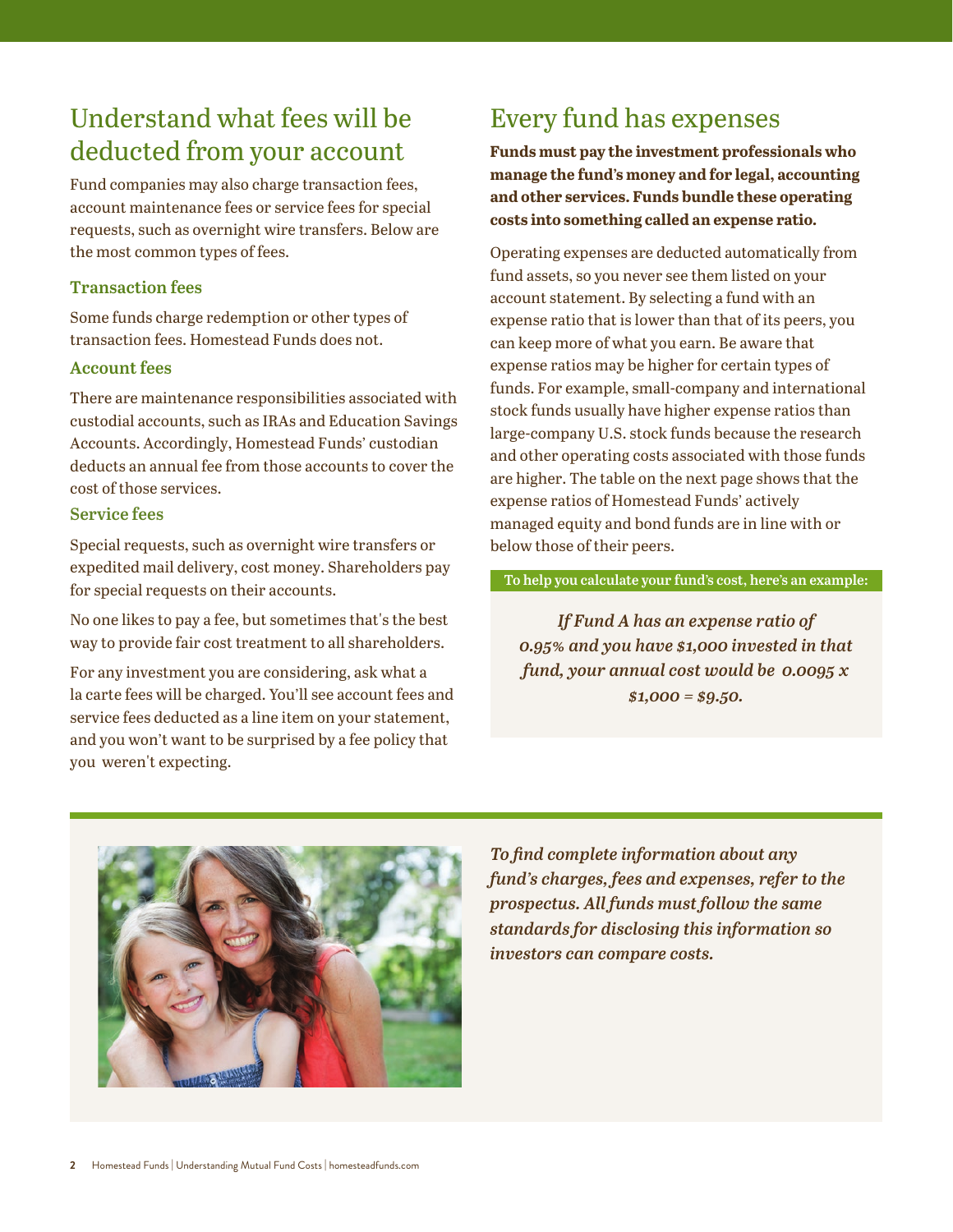# Understand what fees will be deducted from your account

Fund companies may also charge transaction fees, account maintenance fees or service fees for special requests, such as overnight wire transfers. Below are the most common types of fees.

### **Transaction fees**

Some funds charge redemption or other types of transaction fees. Homestead Funds does not.

### **Account fees**

There are maintenance responsibilities associated with custodial accounts, such as IRAs and Education Savings Accounts. Accordingly, Homestead Funds' custodian deducts an annual fee from those accounts to cover the cost of those services.

### **Service fees**

Special requests, such as overnight wire transfers or expedited mail delivery, cost money. Shareholders pay for special requests on their accounts.

No one likes to pay a fee, but sometimes that's the best way to provide fair cost treatment to all shareholders.

For any investment you are considering, ask what a la carte fees will be charged. You'll see account fees and service fees deducted as a line item on your statement, and you won't want to be surprised by a fee policy that you weren't expecting.

# Every fund has expenses

**Funds must pay the investment professionals who manage the fund's money and for legal, accounting and other services. Funds bundle these operating costs into something called an expense ratio.**

Operating expenses are deducted automatically from fund assets, so you never see them listed on your account statement. By selecting a fund with an expense ratio that is lower than that of its peers, you can keep more of what you earn. Be aware that expense ratios may be higher for certain types of funds. For example, small-company and international stock funds usually have higher expense ratios than large-company U.S. stock funds because the research and other operating costs associated with those funds are higher. The table on the next page shows that the expense ratios of Homestead Funds' actively managed equity and bond funds are in line with or below those of their peers.

#### **To help you calculate your fund's cost, here's an example:**

*If Fund A has an expense ratio of 0.95% and you have \$1,000 invested in that fund, your annual cost would be 0.0095 x \$1,000 = \$9.50.*



*To find complete information about any fund's charges, fees and expenses, refer to the prospectus. All funds must follow the same standards for disclosing this information so investors can compare costs.*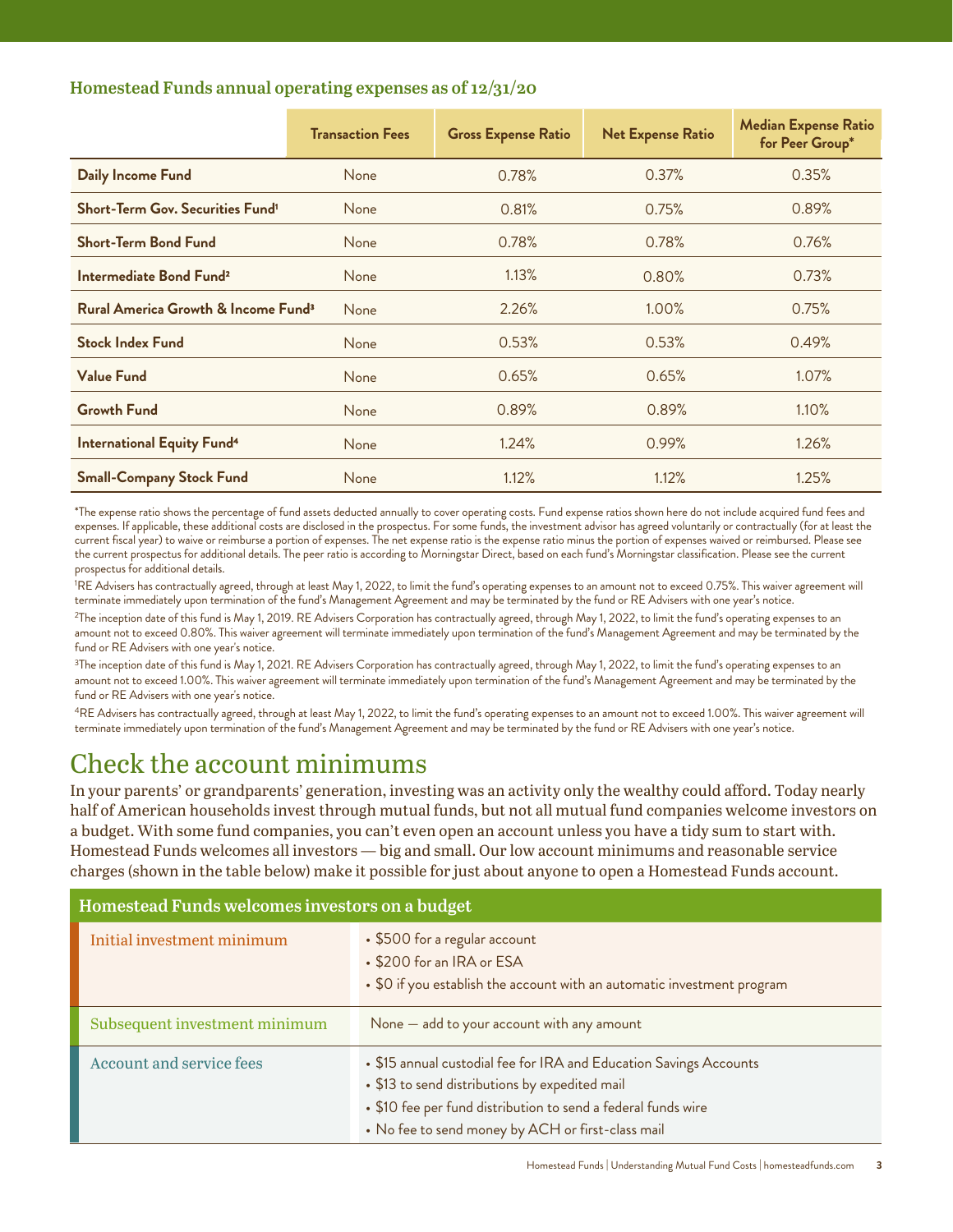### **Homestead Funds annual operating expenses as of 12/31/20**

|                                                           | <b>Transaction Fees</b> | <b>Gross Expense Ratio</b> | <b>Net Expense Ratio</b> | <b>Median Expense Ratio</b><br>for Peer Group* |
|-----------------------------------------------------------|-------------------------|----------------------------|--------------------------|------------------------------------------------|
| <b>Daily Income Fund</b>                                  | None                    | 0.78%                      | 0.37%                    | 0.35%                                          |
| <b>Short-Term Gov. Securities Fund<sup>1</sup></b>        | None                    | 0.81%                      | 0.75%                    | 0.89%                                          |
| <b>Short-Term Bond Fund</b>                               | None                    | 0.78%                      | 0.78%                    | 0.76%                                          |
| Intermediate Bond Fund <sup>2</sup>                       | None                    | 1.13%                      | 0.80%                    | 0.73%                                          |
| <b>Rural America Growth &amp; Income Fund<sup>3</sup></b> | None                    | 2.26%                      | 1.00%                    | 0.75%                                          |
| <b>Stock Index Fund</b>                                   | None                    | 0.53%                      | 0.53%                    | 0.49%                                          |
| <b>Value Fund</b>                                         | None                    | 0.65%                      | 0.65%                    | 1.07%                                          |
| <b>Growth Fund</b>                                        | None                    | 0.89%                      | 0.89%                    | 1.10%                                          |
| <b>International Equity Fund<sup>4</sup></b>              | None                    | 1.24%                      | 0.99%                    | 1.26%                                          |
| <b>Small-Company Stock Fund</b>                           | None                    | 1.12%                      | 1.12%                    | 1.25%                                          |

\*The expense ratio shows the percentage of fund assets deducted annually to cover operating costs. Fund expense ratios shown here do not include acquired fund fees and expenses. If applicable, these additional costs are disclosed in the prospectus. For some funds, the investment advisor has agreed voluntarily or contractually (for at least the current fiscal year) to waive or reimburse a portion of expenses. The net expense ratio is the expense ratio minus the portion of expenses waived or reimbursed. Please see the current prospectus for additional details. The peer ratio is according to Morningstar Direct, based on each fund's Morningstar classification. Please see the current prospectus for additional details.

<sup>1</sup>RE Advisers has contractually agreed, through at least May 1, 2022, to limit the fund's operating expenses to an amount not to exceed 0.75%. This waiver agreement will terminate immediately upon termination of the fund's Management Agreement and may be terminated by the fund or RE Advisers with one year's notice.

<sup>2</sup>The inception date of this fund is May 1, 2019. RE Advisers Corporation has contractually agreed, through May 1, 2022, to limit the fund's operating expenses to an amount not to exceed 0.80%. This waiver agreement will terminate immediately upon termination of the fund's Management Agreement and may be terminated by the fund or RE Advisers with one year's notice.

<sup>3</sup>The inception date of this fund is May 1, 2021. RE Advisers Corporation has contractually agreed, through May 1, 2022, to limit the fund's operating expenses to an amount not to exceed 1.00%. This waiver agreement will terminate immediately upon termination of the fund's Management Agreement and may be terminated by the fund or RE Advisers with one year's notice.

<sup>4</sup>RE Advisers has contractually agreed, through at least May 1, 2022, to limit the fund's operating expenses to an amount not to exceed 1.00%. This waiver agreement will terminate immediately upon termination of the fund's Management Agreement and may be terminated by the fund or RE Advisers with one year's notice.

### Check the account minimums

In your parents' or grandparents' generation, investing was an activity only the wealthy could afford. Today nearly half of American households invest through mutual funds, but not all mutual fund companies welcome investors on a budget. With some fund companies, you can't even open an account unless you have a tidy sum to start with. Homestead Funds welcomes all investors — big and small. Our low account minimums and reasonable service charges (shown in the table below) make it possible for just about anyone to open a Homestead Funds account.

| Homestead Funds welcomes investors on a budget |                                                                                                                                                                                                                                            |  |
|------------------------------------------------|--------------------------------------------------------------------------------------------------------------------------------------------------------------------------------------------------------------------------------------------|--|
| Initial investment minimum                     | • \$500 for a regular account<br>• \$200 for an IRA or ESA<br>• \$0 if you establish the account with an automatic investment program                                                                                                      |  |
| Subsequent investment minimum                  | None - add to your account with any amount                                                                                                                                                                                                 |  |
| <b>Account and service fees</b>                | • \$15 annual custodial fee for IRA and Education Savings Accounts<br>• \$13 to send distributions by expedited mail<br>• \$10 fee per fund distribution to send a federal funds wire<br>• No fee to send money by ACH or first-class mail |  |